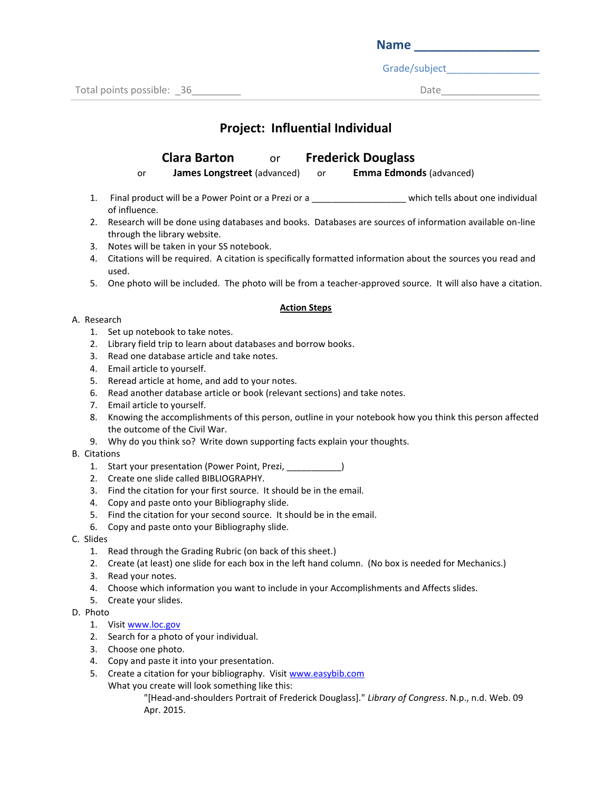| <b>Name</b> |  |  |  |
|-------------|--|--|--|
|             |  |  |  |

Grade/subject\_\_\_\_\_\_\_\_\_\_\_\_\_\_\_\_\_

# **Project: Influential Individual**

## **Clara Barton** or **Frederick Douglass**

or **James Longstreet** (advanced) or **Emma Edmonds** (advanced)

- 1. Final product will be a Power Point or a Prezi or a \_\_\_\_\_\_\_\_\_\_\_\_\_\_\_\_\_\_\_\_\_\_which tells about one individual of influence.
- 2. Research will be done using databases and books. Databases are sources of information available on-line through the library website.
- 3. Notes will be taken in your SS notebook.
- 4. Citations will be required. A citation is specifically formatted information about the sources you read and used.
- 5. One photo will be included. The photo will be from a teacher-approved source. It will also have a citation.

#### **Action Steps**

#### A. Research

- 1. Set up notebook to take notes.
- 2. Library field trip to learn about databases and borrow books.
- 3. Read one database article and take notes.
- 4. Email article to yourself.
- 5. Reread article at home, and add to your notes.
- 6. Read another database article or book (relevant sections) and take notes.
- 7. Email article to yourself.
- 8. Knowing the accomplishments of this person, outline in your notebook how you think this person affected the outcome of the Civil War.
- 9. Why do you think so? Write down supporting facts explain your thoughts.

#### B. Citations

- 1. Start your presentation (Power Point, Prezi, \_\_\_\_\_\_\_\_\_\_\_)
- 2. Create one slide called BIBLIOGRAPHY.
- 3. Find the citation for your first source. It should be in the email.
- 4. Copy and paste onto your Bibliography slide.
- 5. Find the citation for your second source. It should be in the email.
- 6. Copy and paste onto your Bibliography slide.
- C. Slides
	- 1. Read through the Grading Rubric (on back of this sheet.)
	- 2. Create (at least) one slide for each box in the left hand column. (No box is needed for Mechanics.)
	- 3. Read your notes.
	- 4. Choose which information you want to include in your Accomplishments and Affects slides.
	- 5. Create your slides.
- D. Photo
	- 1. Visit [www.loc.gov](http://www.loc.gov/)
	- 2. Search for a photo of your individual.
	- 3. Choose one photo.
	- 4. Copy and paste it into your presentation.
	- 5. Create a citation for your bibliography. Visi[t www.easybib.com](http://www.easybib.com/)
	- What you create will look something like this:

"[Head-and-shoulders Portrait of Frederick Douglass]." *Library of Congress*. N.p., n.d. Web. 09 Apr. 2015.